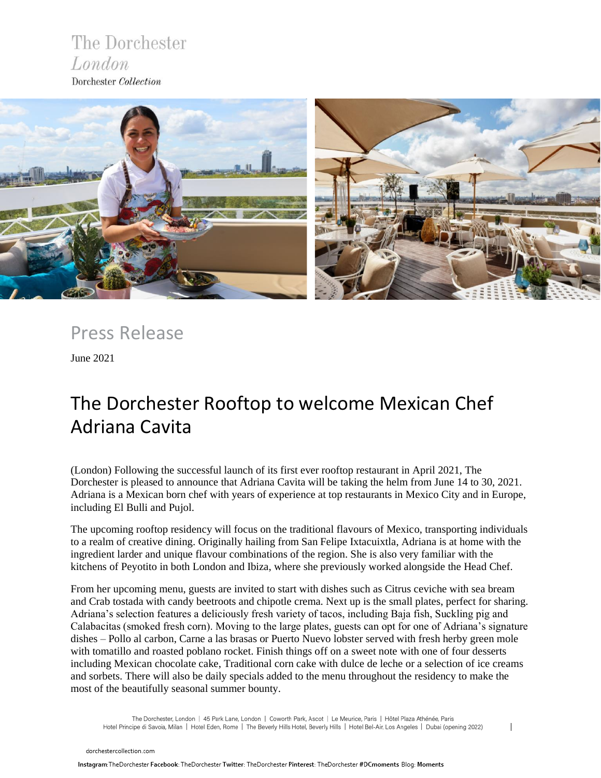### The Dorchester London Dorchester Collection



Press Release

June 2021

# The Dorchester Rooftop to welcome Mexican Chef Adriana Cavita

(London) Following the successful launch of its first ever rooftop restaurant in April 2021, The Dorchester is pleased to announce that Adriana Cavita will be taking the helm from June 14 to 30, 2021. Adriana is a Mexican born chef with years of experience at top restaurants in Mexico City and in Europe, including El Bulli and Pujol.

The upcoming rooftop residency will focus on the traditional flavours of Mexico, transporting individuals to a realm of creative dining. Originally hailing from San Felipe Ixtacuixtla, Adriana is at home with the ingredient larder and unique flavour combinations of the region. She is also very familiar with the kitchens of Peyotito in both London and Ibiza, where she previously worked alongside the Head Chef.

From her upcoming menu, guests are invited to start with dishes such as Citrus ceviche with sea bream and Crab tostada with candy beetroots and chipotle crema. Next up is the small plates, perfect for sharing. Adriana's selection features a deliciously fresh variety of tacos, including Baja fish, Suckling pig and Calabacitas (smoked fresh corn). Moving to the large plates, guests can opt for one of Adriana's signature dishes – Pollo al carbon, Carne a las brasas or Puerto Nuevo lobster served with fresh herby green mole with tomatillo and roasted poblano rocket. Finish things off on a sweet note with one of four desserts including Mexican chocolate cake, Traditional corn cake with dulce de leche or a selection of ice creams and sorbets. There will also be daily specials added to the menu throughout the residency to make the most of the beautifully seasonal summer bounty.

The Dorchester, London | 45 Park Lane, London | Coworth Park, Ascot | Le Meurice, Paris | Hôtel Plaza Athénée, Paris Hotel Principe di Savoia, Milan | Hotel Eden, Rome | The Beverly Hills Hotel, Beverly Hills | Hotel Bel-Air, Los Angeles | Dubai (opening 2022)

 $\overline{1}$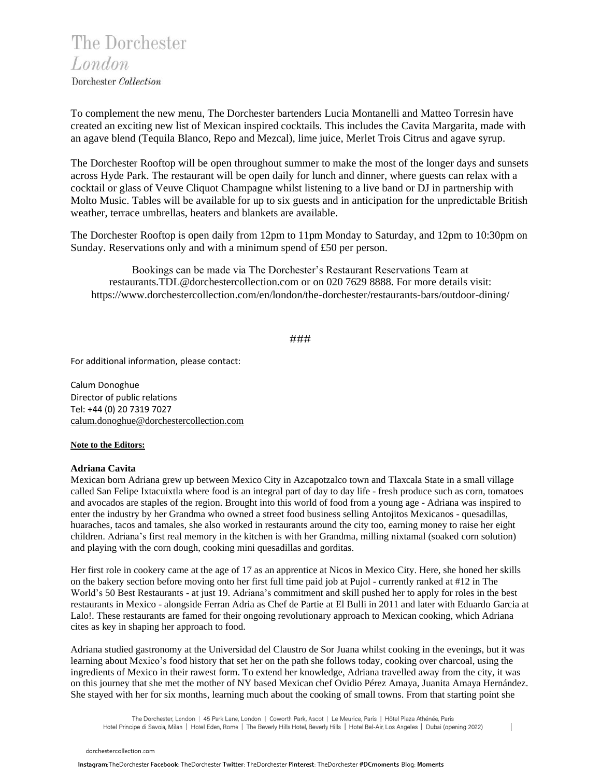The Dorchester London

Dorchester Collection

To complement the new menu, The Dorchester bartenders Lucia Montanelli and Matteo Torresin have created an exciting new list of Mexican inspired cocktails. This includes the Cavita Margarita, made with an agave blend (Tequila Blanco, Repo and Mezcal), lime juice, Merlet Trois Citrus and agave syrup.

The Dorchester Rooftop will be open throughout summer to make the most of the longer days and sunsets across Hyde Park. The restaurant will be open daily for lunch and dinner, where guests can relax with a cocktail or glass of Veuve Cliquot Champagne whilst listening to a live band or DJ in partnership with Molto Music. Tables will be available for up to six guests and in anticipation for the unpredictable British weather, terrace umbrellas, heaters and blankets are available.

The Dorchester Rooftop is open daily from 12pm to 11pm Monday to Saturday, and 12pm to 10:30pm on Sunday. Reservations only and with a minimum spend of £50 per person.

Bookings can be made via The Dorchester's Restaurant Reservations Team at [restaurants.TDL@dorchestercollection.com](mailto:restaurants.TDL@dorchestercollection.com) or on 020 7629 8888. For more details visit: <https://www.dorchestercollection.com/en/london/the-dorchester/restaurants-bars/outdoor-dining/>

#### ###

For additional information, please contact:

Calum Donoghue Director of public relations Tel: +44 (0) 20 7319 7027 [calum.donoghue@dorchestercollection.com](mailto:calum.donoghue@dorchestercollection.com)

#### **Note to the Editors:**

#### **Adriana Cavita**

Mexican born Adriana grew up between Mexico City in Azcapotzalco town and Tlaxcala State in a small village called San Felipe Ixtacuixtla where food is an integral part of day to day life - fresh produce such as corn, tomatoes and avocados are staples of the region. Brought into this world of food from a young age - Adriana was inspired to enter the industry by her Grandma who owned a street food business selling Antojitos Mexicanos - quesadillas, huaraches, tacos and tamales, she also worked in restaurants around the city too, earning money to raise her eight children. Adriana's first real memory in the kitchen is with her Grandma, milling nixtamal (soaked corn solution) and playing with the corn dough, cooking mini quesadillas and gorditas.

Her first role in cookery came at the age of 17 as an apprentice at Nicos in Mexico City. Here, she honed her skills on the bakery section before moving onto her first full time paid job at Pujol - currently ranked at #12 in The World's 50 Best Restaurants - at just 19. Adriana's commitment and skill pushed her to apply for roles in the best restaurants in Mexico - alongside Ferran Adria as Chef de Partie at El Bulli in 2011 and later with Eduardo Garcia at Lalo!. These restaurants are famed for their ongoing revolutionary approach to Mexican cooking, which Adriana cites as key in shaping her approach to food.

Adriana studied gastronomy at the Universidad del Claustro de Sor Juana whilst cooking in the evenings, but it was learning about Mexico's food history that set her on the path she follows today, cooking over charcoal, using the ingredients of Mexico in their rawest form. To extend her knowledge, Adriana travelled away from the city, it was on this journey that she met the mother of NY based Mexican chef Ovidio Pérez Amaya, Juanita Amaya Hernández. She stayed with her for six months, learning much about the cooking of small towns. From that starting point she

The Dorchester, London | 45 Park Lane, London | Coworth Park, Ascot | Le Meurice, Paris | Hôtel Plaza Athénée, Paris Hotel Principe di Savoia, Milan | Hotel Eden, Rome | The Beverly Hills Hotel, Beverly Hills | Hotel Bel-Air, Los Angeles | Dubai (opening 2022)

 $\overline{\phantom{a}}$